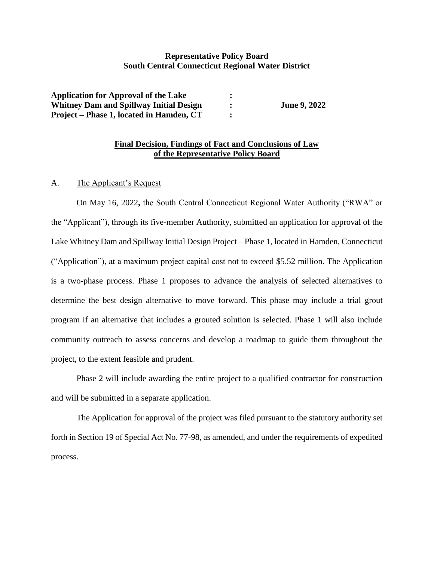# **Representative Policy Board South Central Connecticut Regional Water District**

| <b>Application for Approval of the Lake</b>    |                     |
|------------------------------------------------|---------------------|
| <b>Whitney Dam and Spillway Initial Design</b> | <b>June 9, 2022</b> |
| Project – Phase 1, located in Hamden, CT       |                     |

# **Final Decision, Findings of Fact and Conclusions of Law of the Representative Policy Board**

A. The Applicant's Request

On May 16, 2022**,** the South Central Connecticut Regional Water Authority ("RWA" or the "Applicant"), through its five-member Authority, submitted an application for approval of the Lake Whitney Dam and Spillway Initial Design Project – Phase 1, located in Hamden, Connecticut ("Application"), at a maximum project capital cost not to exceed \$5.52 million. The Application is a two-phase process. Phase 1 proposes to advance the analysis of selected alternatives to determine the best design alternative to move forward. This phase may include a trial grout program if an alternative that includes a grouted solution is selected. Phase 1 will also include community outreach to assess concerns and develop a roadmap to guide them throughout the project, to the extent feasible and prudent.

Phase 2 will include awarding the entire project to a qualified contractor for construction and will be submitted in a separate application.

The Application for approval of the project was filed pursuant to the statutory authority set forth in Section 19 of Special Act No. 77-98, as amended, and under the requirements of expedited process.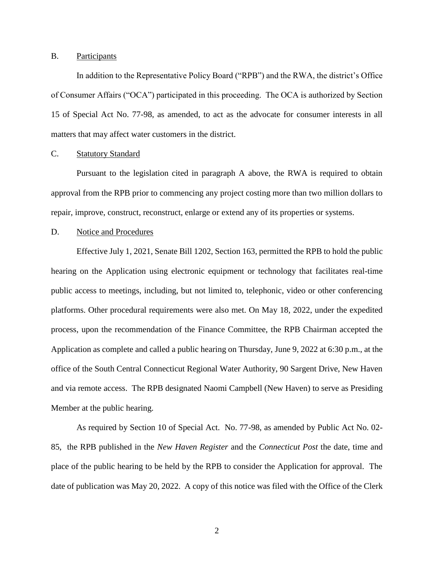## B. Participants

In addition to the Representative Policy Board ("RPB") and the RWA, the district's Office of Consumer Affairs ("OCA") participated in this proceeding. The OCA is authorized by Section 15 of Special Act No. 77-98, as amended, to act as the advocate for consumer interests in all matters that may affect water customers in the district.

### C. Statutory Standard

Pursuant to the legislation cited in paragraph A above, the RWA is required to obtain approval from the RPB prior to commencing any project costing more than two million dollars to repair, improve, construct, reconstruct, enlarge or extend any of its properties or systems.

#### D. Notice and Procedures

Effective July 1, 2021, Senate Bill 1202, Section 163, permitted the RPB to hold the public hearing on the Application using electronic equipment or technology that facilitates real-time public access to meetings, including, but not limited to, telephonic, video or other conferencing platforms. Other procedural requirements were also met. On May 18, 2022, under the expedited process, upon the recommendation of the Finance Committee, the RPB Chairman accepted the Application as complete and called a public hearing on Thursday, June 9, 2022 at 6:30 p.m., at the office of the South Central Connecticut Regional Water Authority, 90 Sargent Drive, New Haven and via remote access. The RPB designated Naomi Campbell (New Haven) to serve as Presiding Member at the public hearing.

As required by Section 10 of Special Act. No. 77-98, as amended by Public Act No. 02- 85, the RPB published in the *New Haven Register* and the *Connecticut Post* the date, time and place of the public hearing to be held by the RPB to consider the Application for approval. The date of publication was May 20, 2022. A copy of this notice was filed with the Office of the Clerk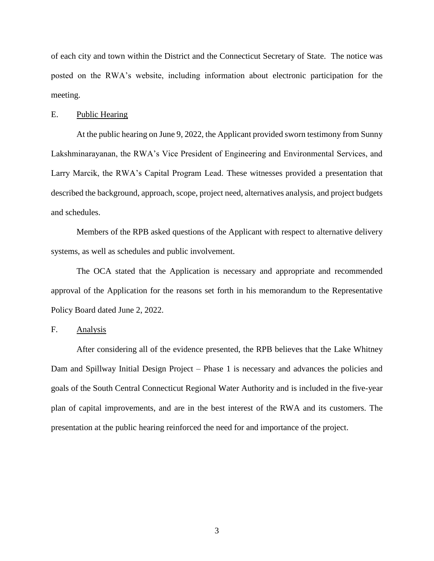of each city and town within the District and the Connecticut Secretary of State. The notice was posted on the RWA's website, including information about electronic participation for the meeting.

### E. Public Hearing

At the public hearing on June 9, 2022, the Applicant provided sworn testimony from Sunny Lakshminarayanan, the RWA's Vice President of Engineering and Environmental Services, and Larry Marcik, the RWA's Capital Program Lead. These witnesses provided a presentation that described the background, approach, scope, project need, alternatives analysis, and project budgets and schedules.

Members of the RPB asked questions of the Applicant with respect to alternative delivery systems, as well as schedules and public involvement.

The OCA stated that the Application is necessary and appropriate and recommended approval of the Application for the reasons set forth in his memorandum to the Representative Policy Board dated June 2, 2022.

## F. Analysis

After considering all of the evidence presented, the RPB believes that the Lake Whitney Dam and Spillway Initial Design Project – Phase 1 is necessary and advances the policies and goals of the South Central Connecticut Regional Water Authority and is included in the five-year plan of capital improvements, and are in the best interest of the RWA and its customers. The presentation at the public hearing reinforced the need for and importance of the project.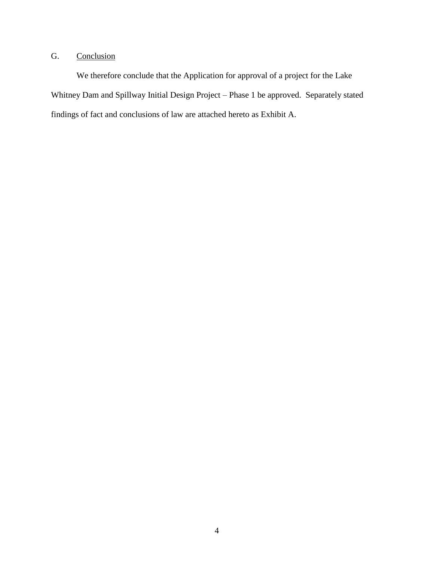# G. Conclusion

We therefore conclude that the Application for approval of a project for the Lake Whitney Dam and Spillway Initial Design Project – Phase 1 be approved. Separately stated findings of fact and conclusions of law are attached hereto as Exhibit A.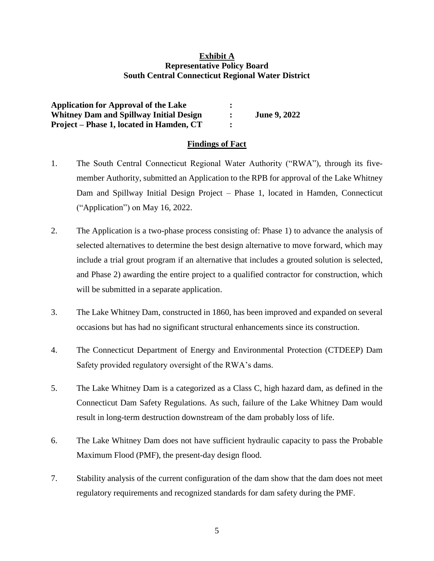# **Exhibit A Representative Policy Board South Central Connecticut Regional Water District**

**Application for Approval of the Lake : Whitney Dam and Spillway Initial Design : June 9, 2022 Project – Phase 1, located in Hamden, CT :**

# **Findings of Fact**

- 1. The South Central Connecticut Regional Water Authority ("RWA"), through its fivemember Authority, submitted an Application to the RPB for approval of the Lake Whitney Dam and Spillway Initial Design Project – Phase 1, located in Hamden, Connecticut ("Application") on May 16, 2022.
- 2. The Application is a two-phase process consisting of: Phase 1) to advance the analysis of selected alternatives to determine the best design alternative to move forward, which may include a trial grout program if an alternative that includes a grouted solution is selected, and Phase 2) awarding the entire project to a qualified contractor for construction, which will be submitted in a separate application.
- 3. The Lake Whitney Dam, constructed in 1860, has been improved and expanded on several occasions but has had no significant structural enhancements since its construction.
- 4. The Connecticut Department of Energy and Environmental Protection (CTDEEP) Dam Safety provided regulatory oversight of the RWA's dams.
- 5. The Lake Whitney Dam is a categorized as a Class C, high hazard dam, as defined in the Connecticut Dam Safety Regulations. As such, failure of the Lake Whitney Dam would result in long-term destruction downstream of the dam probably loss of life.
- 6. The Lake Whitney Dam does not have sufficient hydraulic capacity to pass the Probable Maximum Flood (PMF), the present-day design flood.
- 7. Stability analysis of the current configuration of the dam show that the dam does not meet regulatory requirements and recognized standards for dam safety during the PMF.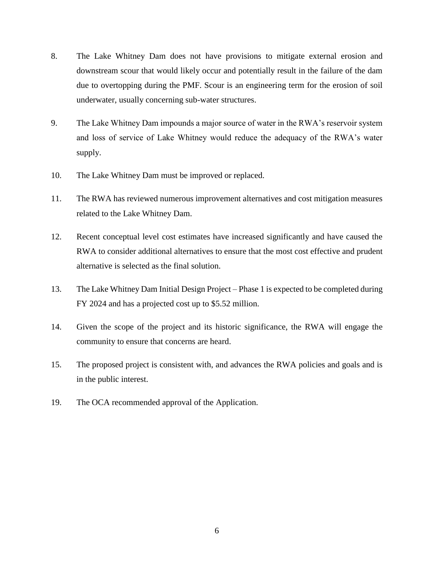- 8. The Lake Whitney Dam does not have provisions to mitigate external erosion and downstream scour that would likely occur and potentially result in the failure of the dam due to overtopping during the PMF. Scour is an engineering term for the erosion of soil underwater, usually concerning sub-water structures.
- 9. The Lake Whitney Dam impounds a major source of water in the RWA's reservoir system and loss of service of Lake Whitney would reduce the adequacy of the RWA's water supply.
- 10. The Lake Whitney Dam must be improved or replaced.
- 11. The RWA has reviewed numerous improvement alternatives and cost mitigation measures related to the Lake Whitney Dam.
- 12. Recent conceptual level cost estimates have increased significantly and have caused the RWA to consider additional alternatives to ensure that the most cost effective and prudent alternative is selected as the final solution.
- 13. The Lake Whitney Dam Initial Design Project Phase 1 is expected to be completed during FY 2024 and has a projected cost up to \$5.52 million.
- 14. Given the scope of the project and its historic significance, the RWA will engage the community to ensure that concerns are heard.
- 15. The proposed project is consistent with, and advances the RWA policies and goals and is in the public interest.
- 19. The OCA recommended approval of the Application.